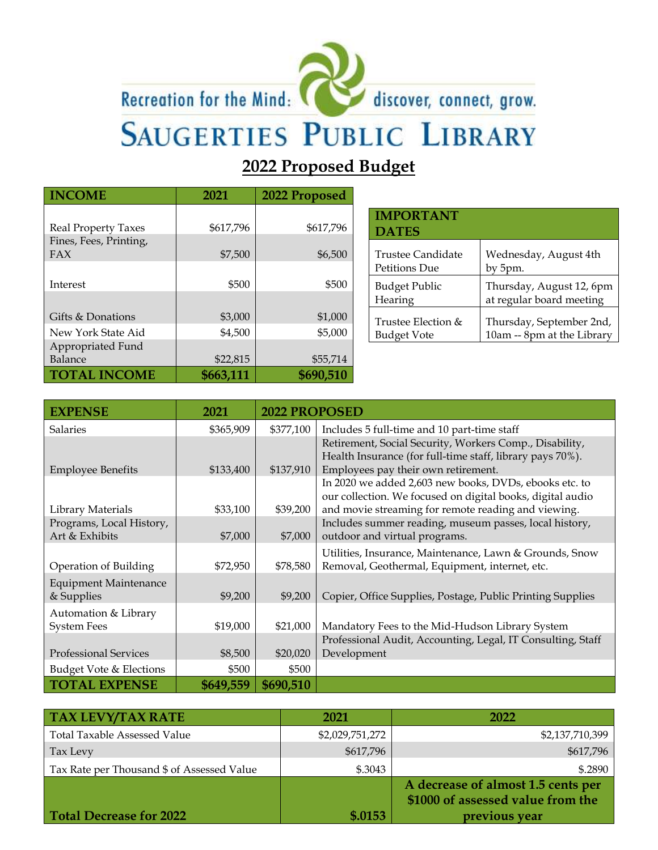# Recreation for the Mind:



discover, connect, grow.

# **SAUGERTIES PUBLIC LIBRARY**

**2022 Proposed Budget**

| <b>INCOME</b>              | 2021      |           |
|----------------------------|-----------|-----------|
|                            |           |           |
| <b>Real Property Taxes</b> | \$617,796 | \$617,796 |
| Fines, Fees, Printing,     |           |           |
| FAX                        | \$7,500   | \$6,500   |
|                            |           |           |
| Interest                   | \$500     | \$500     |
|                            |           |           |
| Gifts & Donations          | \$3,000   | \$1,000   |
| New York State Aid         | \$4,500   | \$5,000   |
| Appropriated Fund          |           |           |
| Balance                    | \$22,815  | \$55,714  |
| <b>TOTAL INCOME</b>        | \$663,111 | \$690,510 |

| <b>IMPORTANT</b><br><b>DATES</b> |                            |
|----------------------------------|----------------------------|
| Trustee Candidate                | Wednesday, August 4th      |
| Petitions Due                    | by 5pm.                    |
| <b>Budget Public</b>             | Thursday, August 12, 6pm   |
| Hearing                          | at regular board meeting   |
| Trustee Election &               | Thursday, September 2nd,   |
| Budget Vote                      | 10am -- 8pm at the Library |

| <b>EXPENSE</b>                             | 2021      | <b>2022 PROPOSED</b> |                                                                                                                                                                             |
|--------------------------------------------|-----------|----------------------|-----------------------------------------------------------------------------------------------------------------------------------------------------------------------------|
| <b>Salaries</b>                            | \$365,909 | \$377,100            | Includes 5 full-time and 10 part-time staff                                                                                                                                 |
| <b>Employee Benefits</b>                   | \$133,400 | \$137,910            | Retirement, Social Security, Workers Comp., Disability,<br>Health Insurance (for full-time staff, library pays 70%).<br>Employees pay their own retirement.                 |
| Library Materials                          | \$33,100  | \$39,200             | In 2020 we added 2,603 new books, DVDs, ebooks etc. to<br>our collection. We focused on digital books, digital audio<br>and movie streaming for remote reading and viewing. |
| Programs, Local History,                   |           |                      | Includes summer reading, museum passes, local history,                                                                                                                      |
| Art & Exhibits                             | \$7,000   | \$7,000              | outdoor and virtual programs.                                                                                                                                               |
| Operation of Building                      | \$72,950  | \$78,580             | Utilities, Insurance, Maintenance, Lawn & Grounds, Snow<br>Removal, Geothermal, Equipment, internet, etc.                                                                   |
| <b>Equipment Maintenance</b><br>& Supplies | \$9,200   | \$9,200              | Copier, Office Supplies, Postage, Public Printing Supplies                                                                                                                  |
| Automation & Library<br><b>System Fees</b> | \$19,000  | \$21,000             | Mandatory Fees to the Mid-Hudson Library System                                                                                                                             |
|                                            |           |                      | Professional Audit, Accounting, Legal, IT Consulting, Staff                                                                                                                 |
| <b>Professional Services</b>               | \$8,500   | \$20,020             | Development                                                                                                                                                                 |
| Budget Vote & Elections                    | \$500     | \$500                |                                                                                                                                                                             |
| <b>TOTAL EXPENSE</b>                       | \$649,559 | \$690,510            |                                                                                                                                                                             |

| <b>TAX LEVY/TAX RATE</b>                   | 2021            | 2022                                                                    |
|--------------------------------------------|-----------------|-------------------------------------------------------------------------|
| <b>Total Taxable Assessed Value</b>        | \$2,029,751,272 | \$2,137,710,399                                                         |
| Tax Levy                                   | \$617,796       | \$617,796                                                               |
| Tax Rate per Thousand \$ of Assessed Value | \$.3043         | \$.2890                                                                 |
|                                            |                 | A decrease of almost 1.5 cents per<br>\$1000 of assessed value from the |
| Total Decrease for 2022                    | \$.0153         | previous year                                                           |